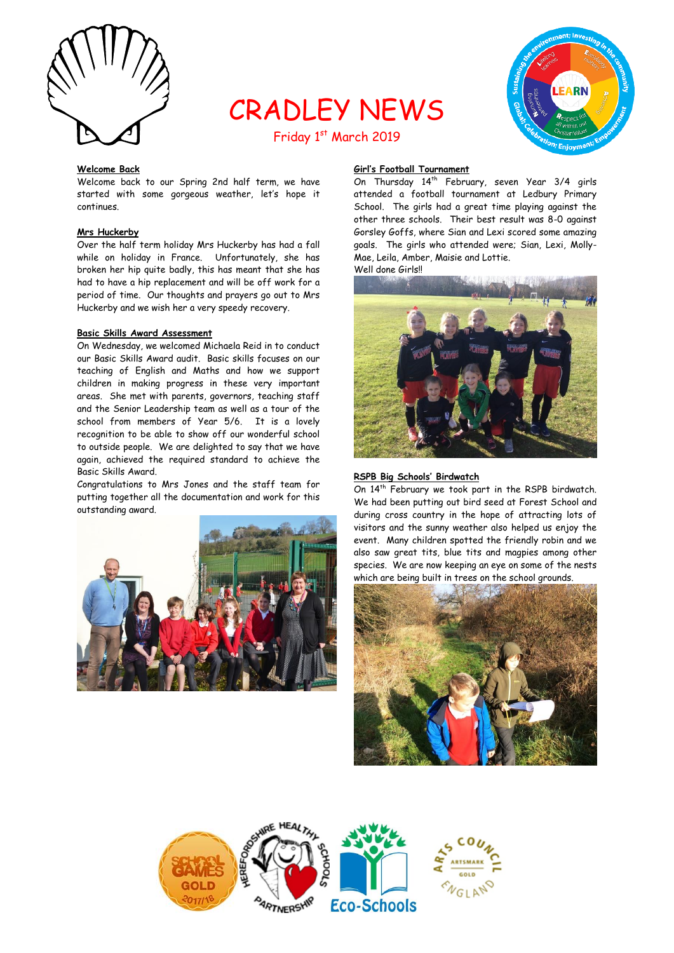

# CRADLEY NEWS



## Friday 1st March 2019

## **Welcome Back**

Welcome back to our Spring 2nd half term, we have started with some gorgeous weather, let's hope it continues.

## **Mrs Huckerby**

Over the half term holiday Mrs Huckerby has had a fall while on holiday in France. Unfortunately, she has broken her hip quite badly, this has meant that she has had to have a hip replacement and will be off work for a period of time. Our thoughts and prayers go out to Mrs Huckerby and we wish her a very speedy recovery.

#### **Basic Skills Award Assessment**

On Wednesday, we welcomed Michaela Reid in to conduct our Basic Skills Award audit. Basic skills focuses on our teaching of English and Maths and how we support children in making progress in these very important areas. She met with parents, governors, teaching staff and the Senior Leadership team as well as a tour of the school from members of Year 5/6. It is a lovely recognition to be able to show off our wonderful school to outside people. We are delighted to say that we have again, achieved the required standard to achieve the Basic Skills Award.

Congratulations to Mrs Jones and the staff team for putting together all the documentation and work for this outstanding award.



## **Girl's Football Tournament**

On Thursday 14<sup>th</sup> February, seven Year 3/4 girls attended a football tournament at Ledbury Primary School. The girls had a great time playing against the other three schools. Their best result was 8-0 against Gorsley Goffs, where Sian and Lexi scored some amazing goals. The girls who attended were; Sian, Lexi, Molly-Mae, Leila, Amber, Maisie and Lottie.

Well done Girls!!



## **RSPB Big Schools' Birdwatch**

On 14<sup>th</sup> February we took part in the RSPB birdwatch. We had been putting out bird seed at Forest School and during cross country in the hope of attracting lots of visitors and the sunny weather also helped us enjoy the event. Many children spotted the friendly robin and we also saw great tits, blue tits and magpies among other species. We are now keeping an eye on some of the nests which are being built in trees on the school grounds.



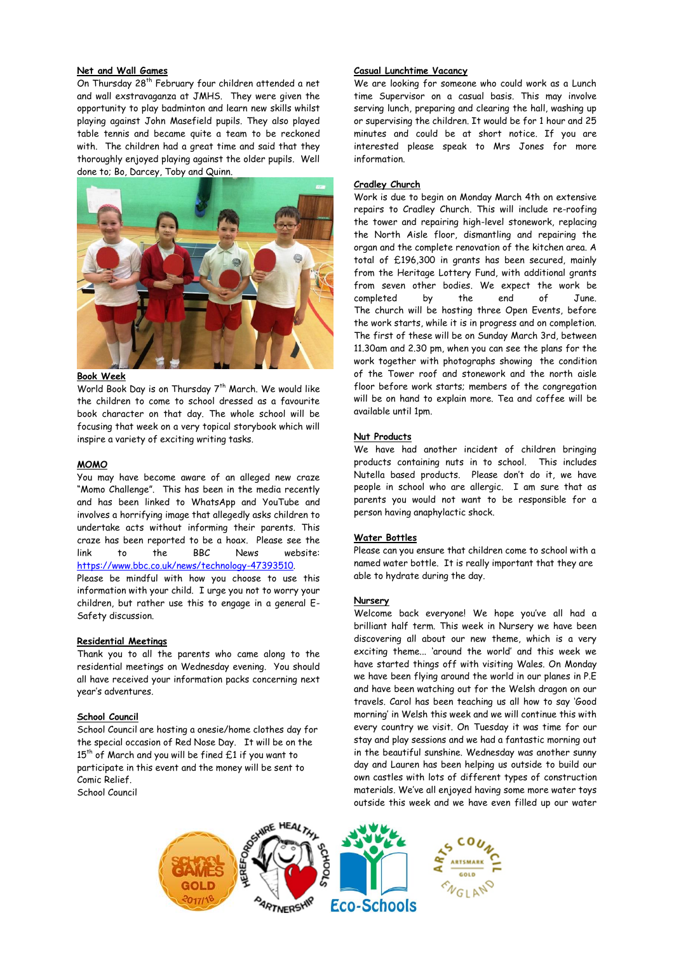## **Net and Wall Games**

On Thursday 28<sup>th</sup> February four children attended a net and wall exstravaganza at JMHS. They were given the opportunity to play badminton and learn new skills whilst playing against John Masefield pupils. They also played table tennis and became quite a team to be reckoned with. The children had a great time and said that they thoroughly enjoyed playing against the older pupils. Well done to; Bo, Darcey, Toby and Quinn.



## **Book Week**

World Book Day is on Thursday 7<sup>th</sup> March. We would like the children to come to school dressed as a favourite book character on that day. The whole school will be focusing that week on a very topical storybook which will inspire a variety of exciting writing tasks.

## **MOMO**

You may have become aware of an alleged new craze "Momo Challenge". This has been in the media recently and has been linked to WhatsApp and YouTube and involves a horrifying image that allegedly asks children to undertake acts without informing their parents. This craze has been reported to be a hoax. Please see the link to the BBC News website: [https://www.bbc.co.uk/news/technology-47393510.](https://www.bbc.co.uk/news/technology-47393510)

Please be mindful with how you choose to use this information with your child. I urge you not to worry your children, but rather use this to engage in a general E-Safety discussion.

#### **Residential Meetings**

Thank you to all the parents who came along to the residential meetings on Wednesday evening. You should all have received your information packs concerning next year's adventures.

## **School Council**

School Council are hosting a onesie/home clothes day for the special occasion of Red Nose Day. It will be on the  $15<sup>th</sup>$  of March and you will be fined £1 if you want to participate in this event and the money will be sent to Comic Relief.

School Council

#### **Casual Lunchtime Vacancy**

We are looking for someone who could work as a Lunch time Supervisor on a casual basis. This may involve serving lunch, preparing and clearing the hall, washing up or supervising the children. It would be for 1 hour and 25 minutes and could be at short notice. If you are interested please speak to Mrs Jones for more information.

## **Cradley Church**

Work is due to begin on Monday March 4th on extensive repairs to Cradley Church. This will include re-roofing the tower and repairing high-level stonework, replacing the North Aisle floor, dismantling and repairing the organ and the complete renovation of the kitchen area. A total of £196,300 in grants has been secured, mainly from the Heritage Lottery Fund, with additional grants from seven other bodies. We expect the work be completed by the end of June. The church will be hosting three Open Events, before the work starts, while it is in progress and on completion. The first of these will be on Sunday March 3rd, between 11.30am and 2.30 pm, when you can see the plans for the work together with photographs showing the condition of the Tower roof and stonework and the north aisle floor before work starts; members of the congregation will be on hand to explain more. Tea and coffee will be available until 1pm.

#### **Nut Products**

We have had another incident of children bringing products containing nuts in to school. This includes Nutella based products. Please don't do it, we have people in school who are allergic. I am sure that as parents you would not want to be responsible for a person having anaphylactic shock.

## **Water Bottles**

Please can you ensure that children come to school with a named water bottle. It is really important that they are able to hydrate during the day.

## **Nursery**

Welcome back everyone! We hope you've all had a brilliant half term. This week in Nursery we have been discovering all about our new theme, which is a very exciting theme... 'around the world' and this week we have started things off with visiting Wales. On Monday we have been flying around the world in our planes in P.E and have been watching out for the Welsh dragon on our travels. Carol has been teaching us all how to say 'Good morning' in Welsh this week and we will continue this with every country we visit. On Tuesday it was time for our stay and play sessions and we had a fantastic morning out in the beautiful sunshine. Wednesday was another sunny day and Lauren has been helping us outside to build our own castles with lots of different types of construction materials. We've all enjoyed having some more water toys outside this week and we have even filled up our water

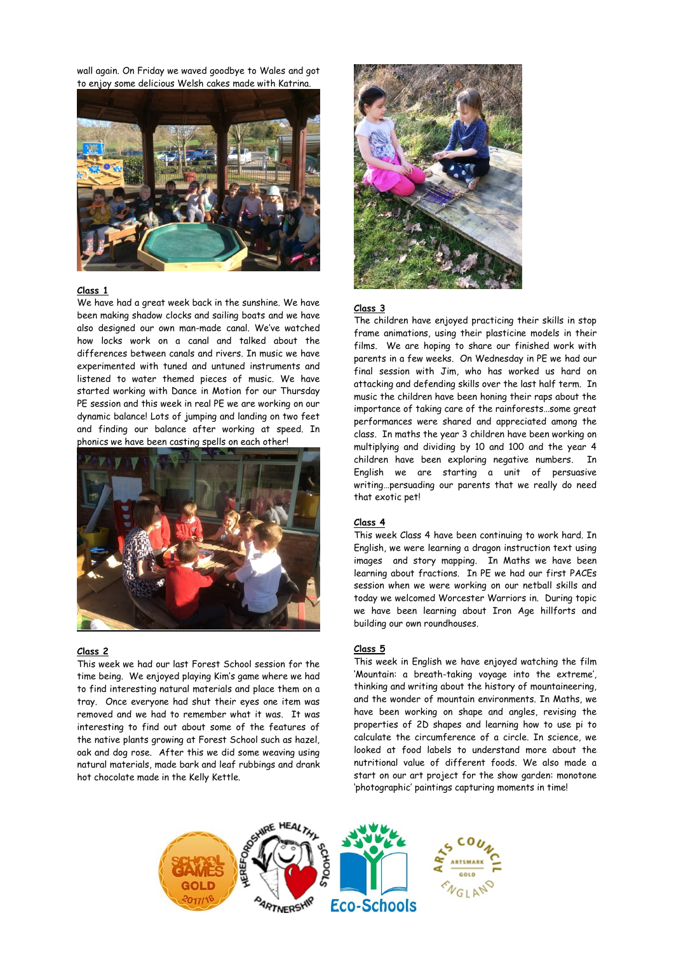wall again. On Friday we waved goodbye to Wales and got to enjoy some delicious Welsh cakes made with Katrina.



### **Class 1**

We have had a great week back in the sunshine. We have been making shadow clocks and sailing boats and we have also designed our own man-made canal. We've watched how locks work on a canal and talked about the differences between canals and rivers. In music we have experimented with tuned and untuned instruments and listened to water themed pieces of music. We have started working with Dance in Motion for our Thursday PE session and this week in real PE we are working on our dynamic balance! Lots of jumping and landing on two feet and finding our balance after working at speed. In phonics we have been casting spells on each other!



## **Class 2**

This week we had our last Forest School session for the time being. We enjoyed playing Kim's game where we had to find interesting natural materials and place them on a tray. Once everyone had shut their eyes one item was removed and we had to remember what it was. It was interesting to find out about some of the features of the native plants growing at Forest School such as hazel, oak and dog rose. After this we did some weaving using natural materials, made bark and leaf rubbings and drank hot chocolate made in the Kelly Kettle.



#### **Class 3**

The children have enjoyed practicing their skills in stop frame animations, using their plasticine models in their films. We are hoping to share our finished work with parents in a few weeks. On Wednesday in PE we had our final session with Jim, who has worked us hard on attacking and defending skills over the last half term. In music the children have been honing their raps about the importance of taking care of the rainforests…some great performances were shared and appreciated among the class. In maths the year 3 children have been working on multiplying and dividing by 10 and 100 and the year 4 children have been exploring negative numbers. In English we are starting a unit of persuasive writing…persuading our parents that we really do need that exotic pet!

#### **Class 4**

This week Class 4 have been continuing to work hard. In English, we were learning a dragon instruction text using images and story mapping. In Maths we have been learning about fractions. In PE we had our first PACEs session when we were working on our netball skills and today we welcomed Worcester Warriors in. During topic we have been learning about Iron Age hillforts and building our own roundhouses.

## **Class 5**

This week in English we have enjoyed watching the film 'Mountain: a breath-taking voyage into the extreme', thinking and writing about the history of mountaineering, and the wonder of mountain environments. In Maths, we have been working on shape and angles, revising the properties of 2D shapes and learning how to use pi to calculate the circumference of a circle. In science, we looked at food labels to understand more about the nutritional value of different foods. We also made a start on our art project for the show garden: monotone 'photographic' paintings capturing moments in time!